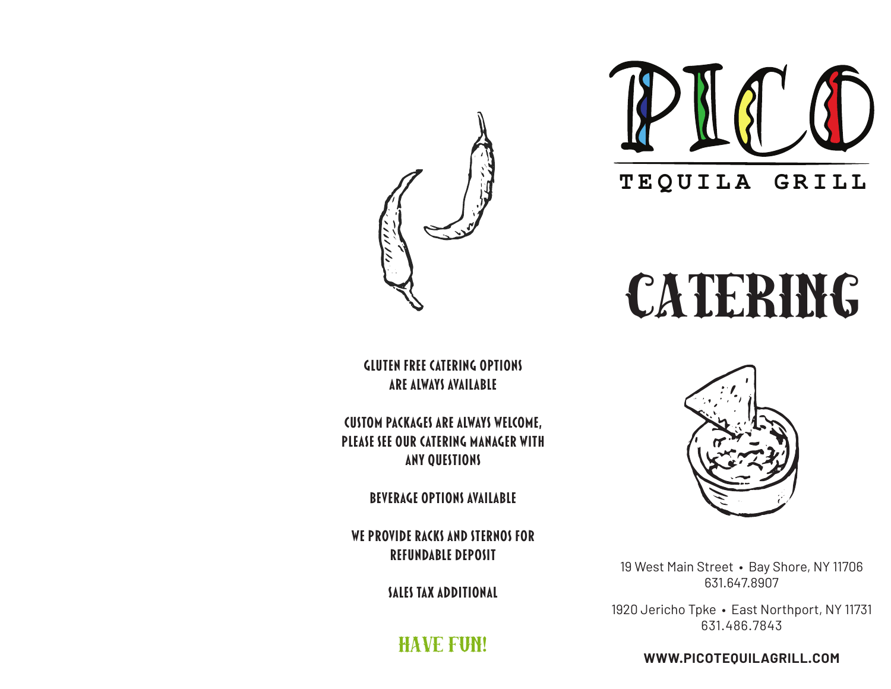

# CATERING

**Gluten Free Catering Options are always available**

**Custom packages are always welcome, please see our catering manager with any questions**

**beverage options available**

**We provide racks and sternos for refundable deposit**

**Sales tax additional**

Have Fun!



19 West Main Street • Bay Shore, NY 11706 631.647.8907

1920 Jericho Tpke · East Northport, NY 11731 631.486.7843

**WWW.PICOTEQUILAGRILL.COM**